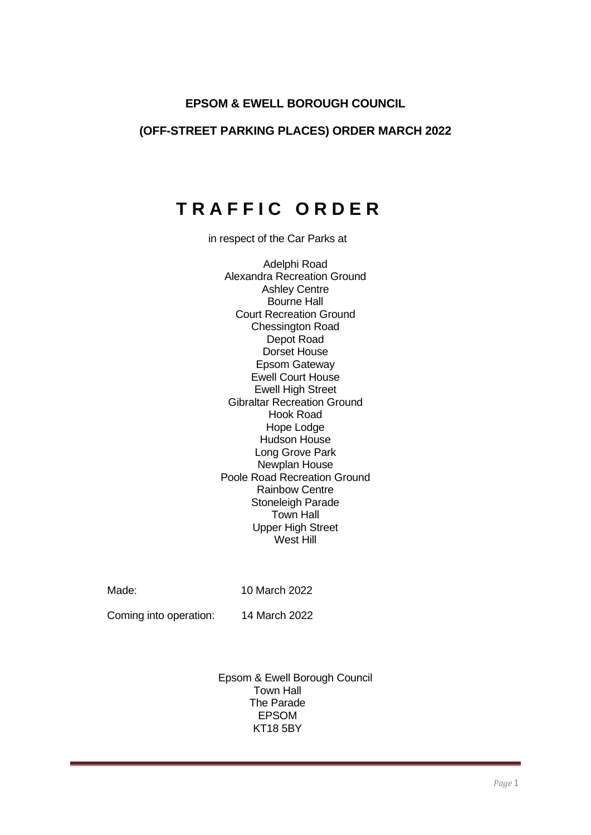# **EPSOM & EWELL BOROUGH COUNCIL**

### **(OFF-STREET PARKING PLACES) ORDER MARCH 2022**

# **T R A F F I C O R D E R**

in respect of the Car Parks at

Adelphi Road Alexandra Recreation Ground Ashley Centre Bourne Hall Court Recreation Ground Chessington Road Depot Road Dorset House Epsom Gateway Ewell Court House Ewell High Street Gibraltar Recreation Ground Hook Road Hope Lodge Hudson House Long Grove Park Newplan House Poole Road Recreation Ground Rainbow Centre Stoneleigh Parade Town Hall Upper High Street West Hill

Made: 10 March 2022

Coming into operation: 14 March 2022

Epsom & Ewell Borough Council Town Hall The Parade EPSOM KT18 5BY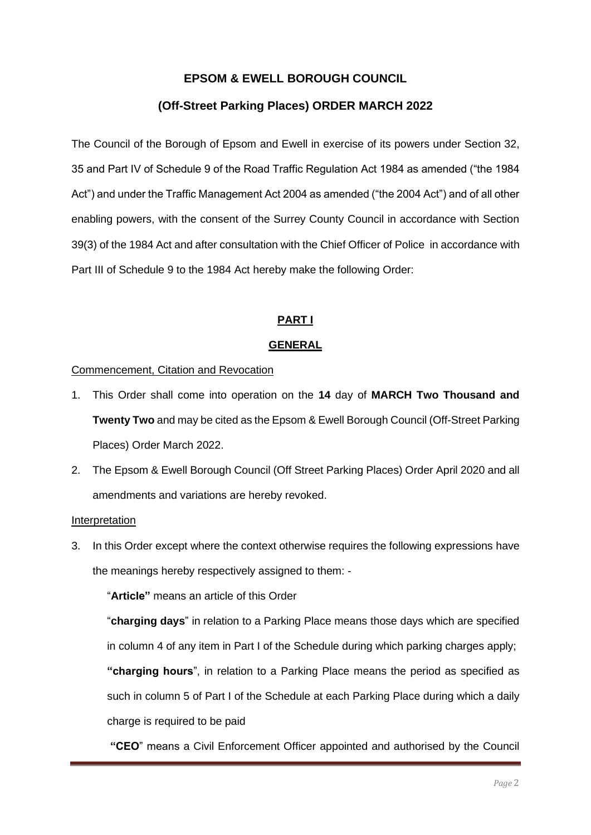# **EPSOM & EWELL BOROUGH COUNCIL**

# **(Off-Street Parking Places) ORDER MARCH 2022**

The Council of the Borough of Epsom and Ewell in exercise of its powers under Section 32, 35 and Part IV of Schedule 9 of the Road Traffic Regulation Act 1984 as amended ("the 1984 Act") and under the Traffic Management Act 2004 as amended ("the 2004 Act") and of all other enabling powers, with the consent of the Surrey County Council in accordance with Section 39(3) of the 1984 Act and after consultation with the Chief Officer of Police in accordance with Part III of Schedule 9 to the 1984 Act hereby make the following Order:

### **PART I**

### **GENERAL**

### Commencement, Citation and Revocation

- 1. This Order shall come into operation on the **14** day of **MARCH Two Thousand and Twenty Two** and may be cited as the Epsom & Ewell Borough Council (Off-Street Parking Places) Order March 2022.
- 2. The Epsom & Ewell Borough Council (Off Street Parking Places) Order April 2020 and all amendments and variations are hereby revoked.

#### Interpretation

3. In this Order except where the context otherwise requires the following expressions have the meanings hereby respectively assigned to them: -

"**Article"** means an article of this Order

"**charging days**" in relation to a Parking Place means those days which are specified in column 4 of any item in Part I of the Schedule during which parking charges apply;

**"charging hours**", in relation to a Parking Place means the period as specified as such in column 5 of Part I of the Schedule at each Parking Place during which a daily charge is required to be paid

**"CEO**" means a Civil Enforcement Officer appointed and authorised by the Council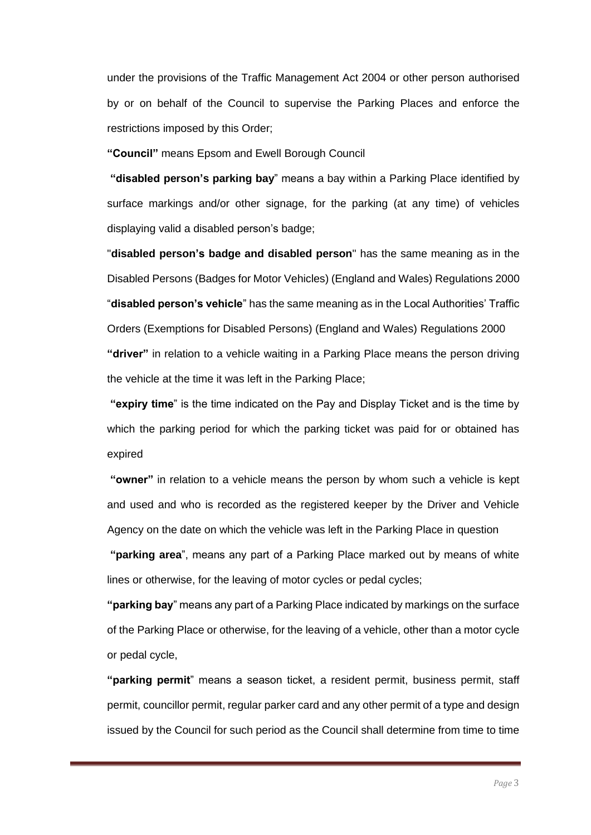under the provisions of the Traffic Management Act 2004 or other person authorised by or on behalf of the Council to supervise the Parking Places and enforce the restrictions imposed by this Order;

**"Council"** means Epsom and Ewell Borough Council

**"disabled person's parking bay**" means a bay within a Parking Place identified by surface markings and/or other signage, for the parking (at any time) of vehicles displaying valid a disabled person's badge;

"**disabled person's badge and disabled person**" has the same meaning as in the Disabled Persons (Badges for Motor Vehicles) (England and Wales) Regulations 2000 "**disabled person's vehicle**" has the same meaning as in the Local Authorities' Traffic Orders (Exemptions for Disabled Persons) (England and Wales) Regulations 2000 **"driver"** in relation to a vehicle waiting in a Parking Place means the person driving the vehicle at the time it was left in the Parking Place;

**"expiry time**" is the time indicated on the Pay and Display Ticket and is the time by which the parking period for which the parking ticket was paid for or obtained has expired

**"owner"** in relation to a vehicle means the person by whom such a vehicle is kept and used and who is recorded as the registered keeper by the Driver and Vehicle Agency on the date on which the vehicle was left in the Parking Place in question

**"parking area**", means any part of a Parking Place marked out by means of white lines or otherwise, for the leaving of motor cycles or pedal cycles;

**"parking bay**" means any part of a Parking Place indicated by markings on the surface of the Parking Place or otherwise, for the leaving of a vehicle, other than a motor cycle or pedal cycle,

**"parking permit**" means a season ticket, a resident permit, business permit, staff permit, councillor permit, regular parker card and any other permit of a type and design issued by the Council for such period as the Council shall determine from time to time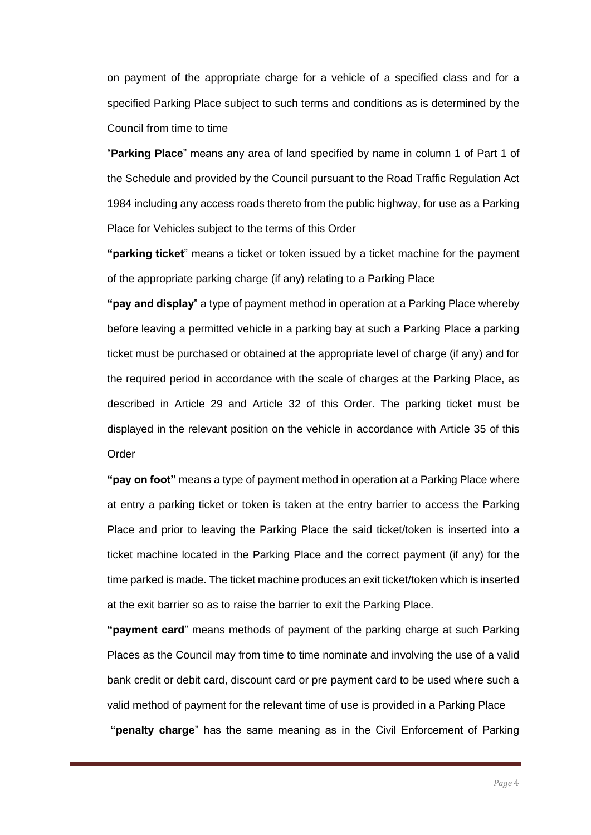on payment of the appropriate charge for a vehicle of a specified class and for a specified Parking Place subject to such terms and conditions as is determined by the Council from time to time

"**Parking Place**" means any area of land specified by name in column 1 of Part 1 of the Schedule and provided by the Council pursuant to the Road Traffic Regulation Act 1984 including any access roads thereto from the public highway, for use as a Parking Place for Vehicles subject to the terms of this Order

**"parking ticket**" means a ticket or token issued by a ticket machine for the payment of the appropriate parking charge (if any) relating to a Parking Place

**"pay and display**" a type of payment method in operation at a Parking Place whereby before leaving a permitted vehicle in a parking bay at such a Parking Place a parking ticket must be purchased or obtained at the appropriate level of charge (if any) and for the required period in accordance with the scale of charges at the Parking Place, as described in Article 29 and Article 32 of this Order. The parking ticket must be displayed in the relevant position on the vehicle in accordance with Article 35 of this **Order** 

**"pay on foot"** means a type of payment method in operation at a Parking Place where at entry a parking ticket or token is taken at the entry barrier to access the Parking Place and prior to leaving the Parking Place the said ticket/token is inserted into a ticket machine located in the Parking Place and the correct payment (if any) for the time parked is made. The ticket machine produces an exit ticket/token which is inserted at the exit barrier so as to raise the barrier to exit the Parking Place.

**"payment card**" means methods of payment of the parking charge at such Parking Places as the Council may from time to time nominate and involving the use of a valid bank credit or debit card, discount card or pre payment card to be used where such a valid method of payment for the relevant time of use is provided in a Parking Place **"penalty charge**" has the same meaning as in the Civil Enforcement of Parking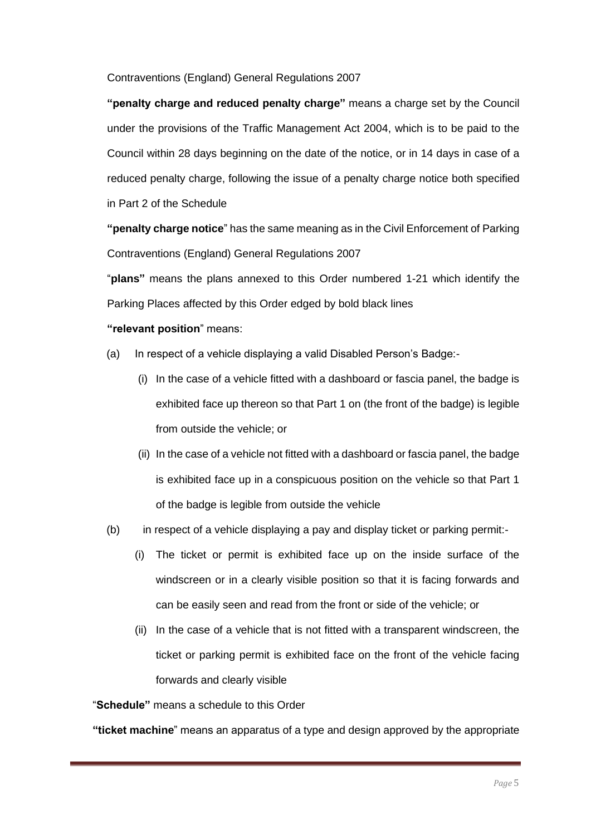Contraventions (England) General Regulations 2007

**"penalty charge and reduced penalty charge"** means a charge set by the Council under the provisions of the Traffic Management Act 2004, which is to be paid to the Council within 28 days beginning on the date of the notice, or in 14 days in case of a reduced penalty charge, following the issue of a penalty charge notice both specified in Part 2 of the Schedule

**"penalty charge notice**" has the same meaning as in the Civil Enforcement of Parking Contraventions (England) General Regulations 2007

"**plans"** means the plans annexed to this Order numbered 1-21 which identify the Parking Places affected by this Order edged by bold black lines

### **"relevant position**" means:

- (a) In respect of a vehicle displaying a valid Disabled Person's Badge:-
	- (i) In the case of a vehicle fitted with a dashboard or fascia panel, the badge is exhibited face up thereon so that Part 1 on (the front of the badge) is legible from outside the vehicle; or
	- (ii) In the case of a vehicle not fitted with a dashboard or fascia panel, the badge is exhibited face up in a conspicuous position on the vehicle so that Part 1 of the badge is legible from outside the vehicle
- (b) in respect of a vehicle displaying a pay and display ticket or parking permit:-
	- (i) The ticket or permit is exhibited face up on the inside surface of the windscreen or in a clearly visible position so that it is facing forwards and can be easily seen and read from the front or side of the vehicle; or
	- (ii) In the case of a vehicle that is not fitted with a transparent windscreen, the ticket or parking permit is exhibited face on the front of the vehicle facing forwards and clearly visible

"**Schedule"** means a schedule to this Order

**"ticket machine**" means an apparatus of a type and design approved by the appropriate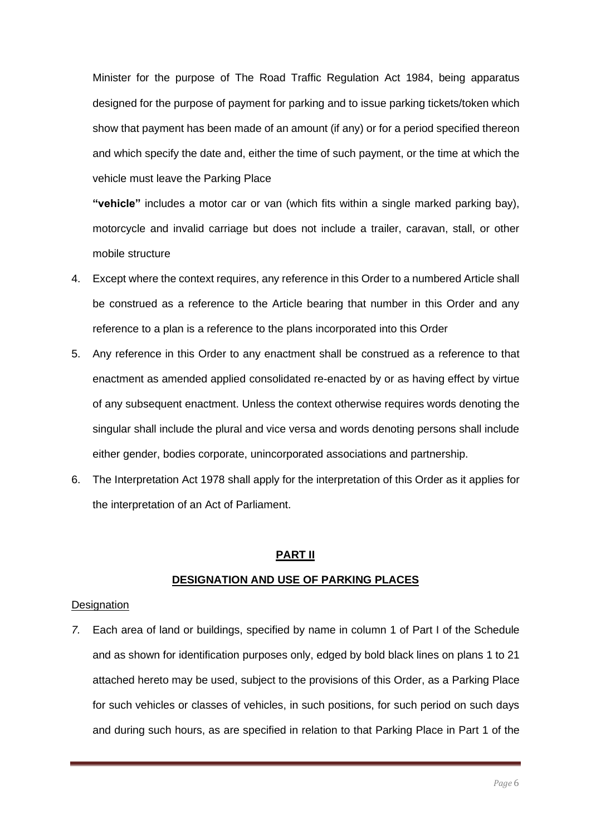Minister for the purpose of The Road Traffic Regulation Act 1984, being apparatus designed for the purpose of payment for parking and to issue parking tickets/token which show that payment has been made of an amount (if any) or for a period specified thereon and which specify the date and, either the time of such payment, or the time at which the vehicle must leave the Parking Place

**"vehicle"** includes a motor car or van (which fits within a single marked parking bay), motorcycle and invalid carriage but does not include a trailer, caravan, stall, or other mobile structure

- 4. Except where the context requires, any reference in this Order to a numbered Article shall be construed as a reference to the Article bearing that number in this Order and any reference to a plan is a reference to the plans incorporated into this Order
- 5. Any reference in this Order to any enactment shall be construed as a reference to that enactment as amended applied consolidated re-enacted by or as having effect by virtue of any subsequent enactment. Unless the context otherwise requires words denoting the singular shall include the plural and vice versa and words denoting persons shall include either gender, bodies corporate, unincorporated associations and partnership.
- 6. The Interpretation Act 1978 shall apply for the interpretation of this Order as it applies for the interpretation of an Act of Parliament.

#### **PART II**

### **DESIGNATION AND USE OF PARKING PLACES**

#### **Designation**

*7.* Each area of land or buildings, specified by name in column 1 of Part I of the Schedule and as shown for identification purposes only, edged by bold black lines on plans 1 to 21 attached hereto may be used, subject to the provisions of this Order, as a Parking Place for such vehicles or classes of vehicles, in such positions, for such period on such days and during such hours, as are specified in relation to that Parking Place in Part 1 of the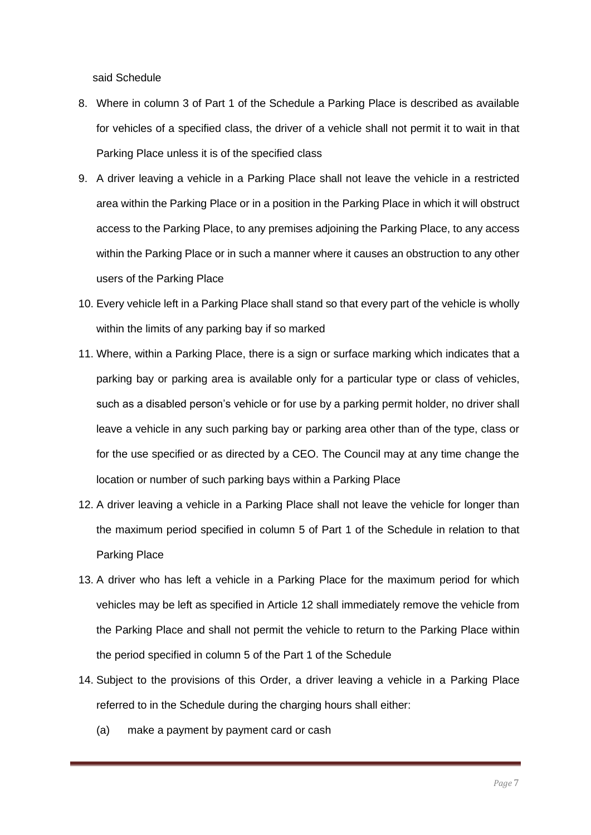said Schedule

- 8. Where in column 3 of Part 1 of the Schedule a Parking Place is described as available for vehicles of a specified class, the driver of a vehicle shall not permit it to wait in that Parking Place unless it is of the specified class
- 9. A driver leaving a vehicle in a Parking Place shall not leave the vehicle in a restricted area within the Parking Place or in a position in the Parking Place in which it will obstruct access to the Parking Place, to any premises adjoining the Parking Place, to any access within the Parking Place or in such a manner where it causes an obstruction to any other users of the Parking Place
- 10. Every vehicle left in a Parking Place shall stand so that every part of the vehicle is wholly within the limits of any parking bay if so marked
- 11. Where, within a Parking Place, there is a sign or surface marking which indicates that a parking bay or parking area is available only for a particular type or class of vehicles, such as a disabled person's vehicle or for use by a parking permit holder, no driver shall leave a vehicle in any such parking bay or parking area other than of the type, class or for the use specified or as directed by a CEO. The Council may at any time change the location or number of such parking bays within a Parking Place
- 12. A driver leaving a vehicle in a Parking Place shall not leave the vehicle for longer than the maximum period specified in column 5 of Part 1 of the Schedule in relation to that Parking Place
- 13. A driver who has left a vehicle in a Parking Place for the maximum period for which vehicles may be left as specified in Article 12 shall immediately remove the vehicle from the Parking Place and shall not permit the vehicle to return to the Parking Place within the period specified in column 5 of the Part 1 of the Schedule
- 14. Subject to the provisions of this Order, a driver leaving a vehicle in a Parking Place referred to in the Schedule during the charging hours shall either:
	- (a) make a payment by payment card or cash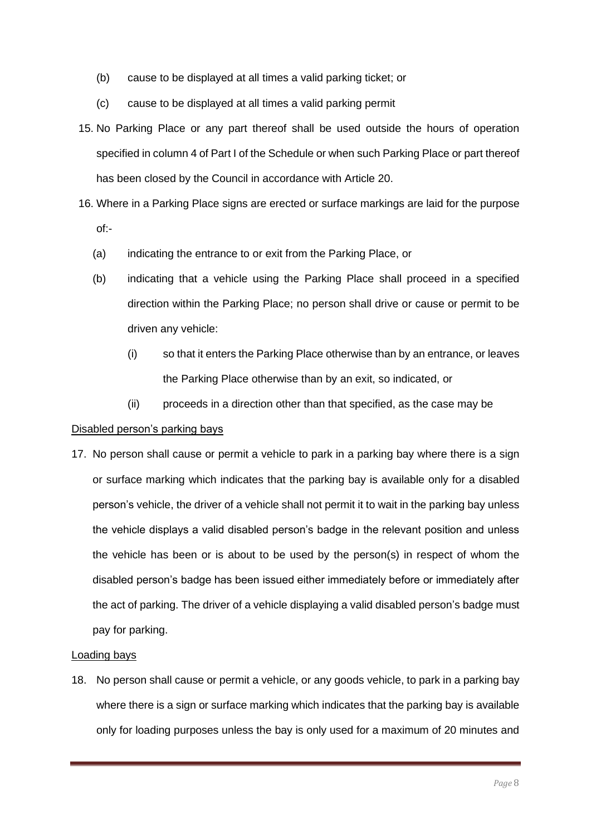- (b) cause to be displayed at all times a valid parking ticket; or
- (c) cause to be displayed at all times a valid parking permit
- 15. No Parking Place or any part thereof shall be used outside the hours of operation specified in column 4 of Part I of the Schedule or when such Parking Place or part thereof has been closed by the Council in accordance with Article 20.
- 16. Where in a Parking Place signs are erected or surface markings are laid for the purpose of:-
	- (a) indicating the entrance to or exit from the Parking Place, or
	- (b) indicating that a vehicle using the Parking Place shall proceed in a specified direction within the Parking Place; no person shall drive or cause or permit to be driven any vehicle:
		- (i) so that it enters the Parking Place otherwise than by an entrance, or leaves the Parking Place otherwise than by an exit, so indicated, or
		- (ii) proceeds in a direction other than that specified, as the case may be

#### Disabled person's parking bays

17. No person shall cause or permit a vehicle to park in a parking bay where there is a sign or surface marking which indicates that the parking bay is available only for a disabled person's vehicle, the driver of a vehicle shall not permit it to wait in the parking bay unless the vehicle displays a valid disabled person's badge in the relevant position and unless the vehicle has been or is about to be used by the person(s) in respect of whom the disabled person's badge has been issued either immediately before or immediately after the act of parking. The driver of a vehicle displaying a valid disabled person's badge must pay for parking.

#### Loading bays

18. No person shall cause or permit a vehicle, or any goods vehicle, to park in a parking bay where there is a sign or surface marking which indicates that the parking bay is available only for loading purposes unless the bay is only used for a maximum of 20 minutes and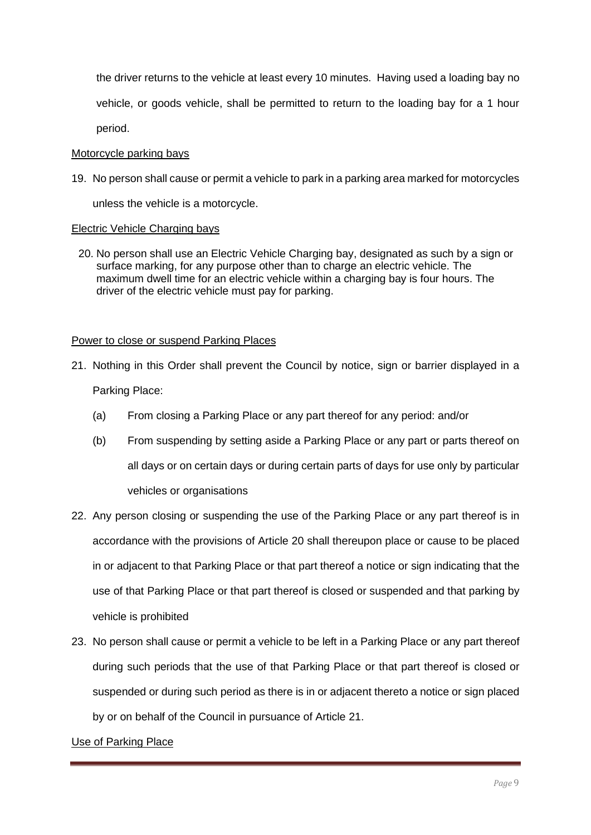the driver returns to the vehicle at least every 10 minutes. Having used a loading bay no vehicle, or goods vehicle, shall be permitted to return to the loading bay for a 1 hour period.

#### Motorcycle parking bays

19. No person shall cause or permit a vehicle to park in a parking area marked for motorcycles

unless the vehicle is a motorcycle.

#### Electric Vehicle Charging bays

20. No person shall use an Electric Vehicle Charging bay, designated as such by a sign or surface marking, for any purpose other than to charge an electric vehicle. The maximum dwell time for an electric vehicle within a charging bay is four hours. The driver of the electric vehicle must pay for parking.

#### Power to close or suspend Parking Places

- 21. Nothing in this Order shall prevent the Council by notice, sign or barrier displayed in a Parking Place:
	- (a) From closing a Parking Place or any part thereof for any period: and/or
	- (b) From suspending by setting aside a Parking Place or any part or parts thereof on all days or on certain days or during certain parts of days for use only by particular vehicles or organisations
- 22. Any person closing or suspending the use of the Parking Place or any part thereof is in accordance with the provisions of Article 20 shall thereupon place or cause to be placed in or adjacent to that Parking Place or that part thereof a notice or sign indicating that the use of that Parking Place or that part thereof is closed or suspended and that parking by vehicle is prohibited
- 23. No person shall cause or permit a vehicle to be left in a Parking Place or any part thereof during such periods that the use of that Parking Place or that part thereof is closed or suspended or during such period as there is in or adjacent thereto a notice or sign placed by or on behalf of the Council in pursuance of Article 21.

#### Use of Parking Place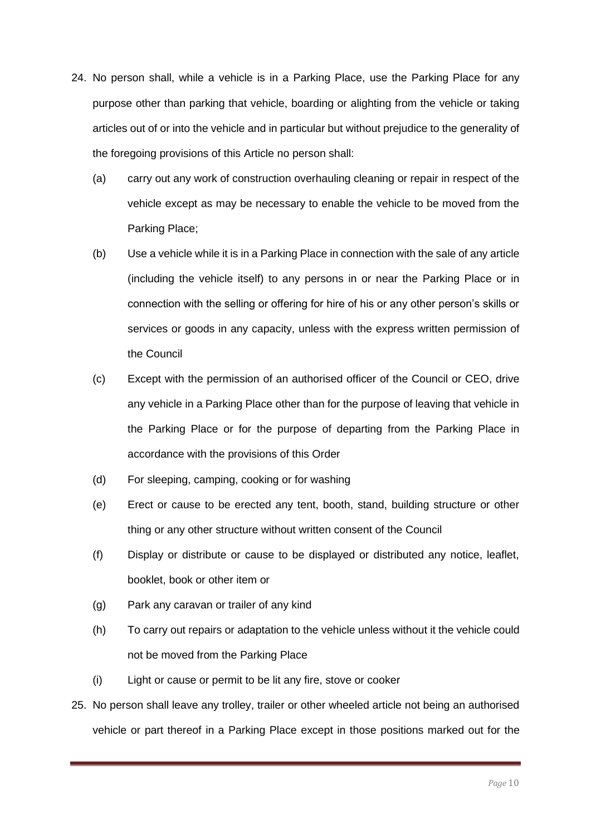- 24. No person shall, while a vehicle is in a Parking Place, use the Parking Place for any purpose other than parking that vehicle, boarding or alighting from the vehicle or taking articles out of or into the vehicle and in particular but without prejudice to the generality of the foregoing provisions of this Article no person shall:
	- (a) carry out any work of construction overhauling cleaning or repair in respect of the vehicle except as may be necessary to enable the vehicle to be moved from the Parking Place;
	- (b) Use a vehicle while it is in a Parking Place in connection with the sale of any article (including the vehicle itself) to any persons in or near the Parking Place or in connection with the selling or offering for hire of his or any other person's skills or services or goods in any capacity, unless with the express written permission of the Council
	- (c) Except with the permission of an authorised officer of the Council or CEO, drive any vehicle in a Parking Place other than for the purpose of leaving that vehicle in the Parking Place or for the purpose of departing from the Parking Place in accordance with the provisions of this Order
	- (d) For sleeping, camping, cooking or for washing
	- (e) Erect or cause to be erected any tent, booth, stand, building structure or other thing or any other structure without written consent of the Council
	- (f) Display or distribute or cause to be displayed or distributed any notice, leaflet, booklet, book or other item or
	- (g) Park any caravan or trailer of any kind
	- (h) To carry out repairs or adaptation to the vehicle unless without it the vehicle could not be moved from the Parking Place
	- (i) Light or cause or permit to be lit any fire, stove or cooker
- 25. No person shall leave any trolley, trailer or other wheeled article not being an authorised vehicle or part thereof in a Parking Place except in those positions marked out for the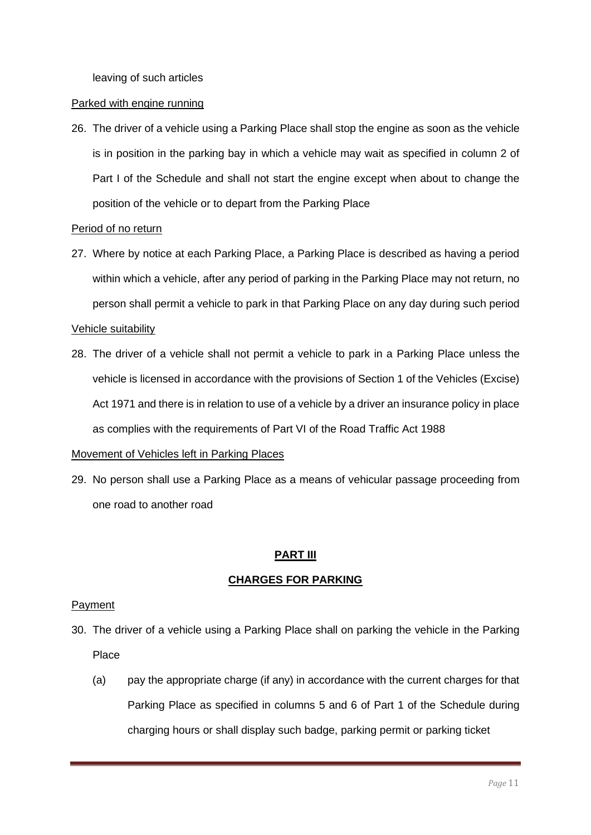leaving of such articles

#### Parked with engine running

26. The driver of a vehicle using a Parking Place shall stop the engine as soon as the vehicle is in position in the parking bay in which a vehicle may wait as specified in column 2 of Part I of the Schedule and shall not start the engine except when about to change the position of the vehicle or to depart from the Parking Place

### Period of no return

27. Where by notice at each Parking Place, a Parking Place is described as having a period within which a vehicle, after any period of parking in the Parking Place may not return, no person shall permit a vehicle to park in that Parking Place on any day during such period

### Vehicle suitability

28. The driver of a vehicle shall not permit a vehicle to park in a Parking Place unless the vehicle is licensed in accordance with the provisions of Section 1 of the Vehicles (Excise) Act 1971 and there is in relation to use of a vehicle by a driver an insurance policy in place as complies with the requirements of Part VI of the Road Traffic Act 1988

### Movement of Vehicles left in Parking Places

29. No person shall use a Parking Place as a means of vehicular passage proceeding from one road to another road

### **PART III**

### **CHARGES FOR PARKING**

#### Payment

- 30. The driver of a vehicle using a Parking Place shall on parking the vehicle in the Parking Place
	- (a) pay the appropriate charge (if any) in accordance with the current charges for that Parking Place as specified in columns 5 and 6 of Part 1 of the Schedule during charging hours or shall display such badge, parking permit or parking ticket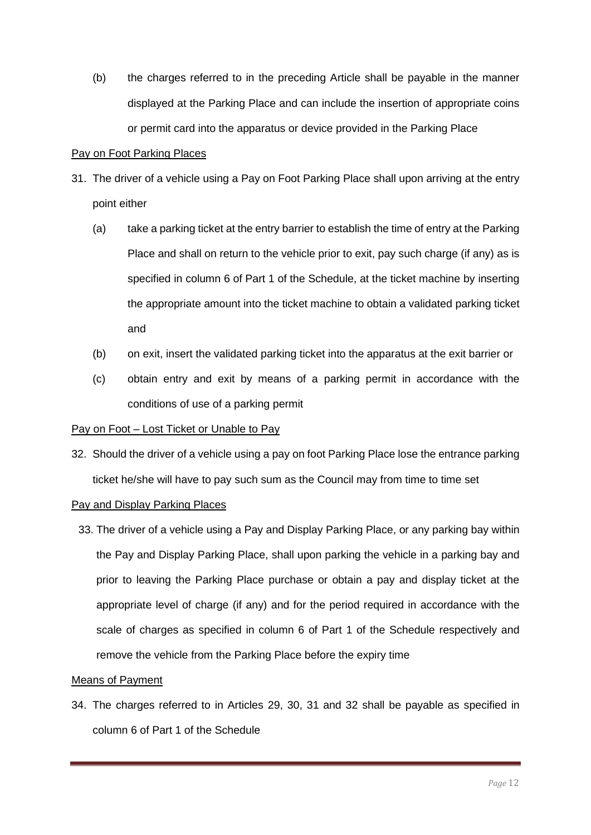(b) the charges referred to in the preceding Article shall be payable in the manner displayed at the Parking Place and can include the insertion of appropriate coins or permit card into the apparatus or device provided in the Parking Place

### Pay on Foot Parking Places

- 31. The driver of a vehicle using a Pay on Foot Parking Place shall upon arriving at the entry point either
	- (a) take a parking ticket at the entry barrier to establish the time of entry at the Parking Place and shall on return to the vehicle prior to exit, pay such charge (if any) as is specified in column 6 of Part 1 of the Schedule, at the ticket machine by inserting the appropriate amount into the ticket machine to obtain a validated parking ticket and
	- (b) on exit, insert the validated parking ticket into the apparatus at the exit barrier or
	- (c) obtain entry and exit by means of a parking permit in accordance with the conditions of use of a parking permit

### Pay on Foot – Lost Ticket or Unable to Pay

32. Should the driver of a vehicle using a pay on foot Parking Place lose the entrance parking ticket he/she will have to pay such sum as the Council may from time to time set

### Pay and Display Parking Places

33. The driver of a vehicle using a Pay and Display Parking Place, or any parking bay within the Pay and Display Parking Place, shall upon parking the vehicle in a parking bay and prior to leaving the Parking Place purchase or obtain a pay and display ticket at the appropriate level of charge (if any) and for the period required in accordance with the scale of charges as specified in column 6 of Part 1 of the Schedule respectively and remove the vehicle from the Parking Place before the expiry time

#### Means of Payment

34. The charges referred to in Articles 29, 30, 31 and 32 shall be payable as specified in column 6 of Part 1 of the Schedule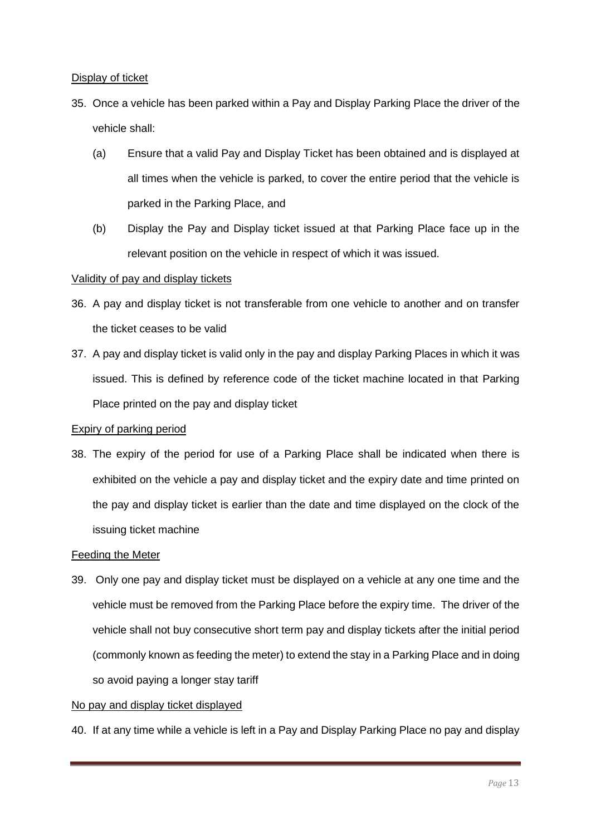### Display of ticket

- 35. Once a vehicle has been parked within a Pay and Display Parking Place the driver of the vehicle shall:
	- (a) Ensure that a valid Pay and Display Ticket has been obtained and is displayed at all times when the vehicle is parked, to cover the entire period that the vehicle is parked in the Parking Place, and
	- (b) Display the Pay and Display ticket issued at that Parking Place face up in the relevant position on the vehicle in respect of which it was issued.

### Validity of pay and display tickets

- 36. A pay and display ticket is not transferable from one vehicle to another and on transfer the ticket ceases to be valid
- 37. A pay and display ticket is valid only in the pay and display Parking Places in which it was issued. This is defined by reference code of the ticket machine located in that Parking Place printed on the pay and display ticket

#### Expiry of parking period

38. The expiry of the period for use of a Parking Place shall be indicated when there is exhibited on the vehicle a pay and display ticket and the expiry date and time printed on the pay and display ticket is earlier than the date and time displayed on the clock of the issuing ticket machine

### Feeding the Meter

39. Only one pay and display ticket must be displayed on a vehicle at any one time and the vehicle must be removed from the Parking Place before the expiry time. The driver of the vehicle shall not buy consecutive short term pay and display tickets after the initial period (commonly known as feeding the meter) to extend the stay in a Parking Place and in doing so avoid paying a longer stay tariff

#### No pay and display ticket displayed

40. If at any time while a vehicle is left in a Pay and Display Parking Place no pay and display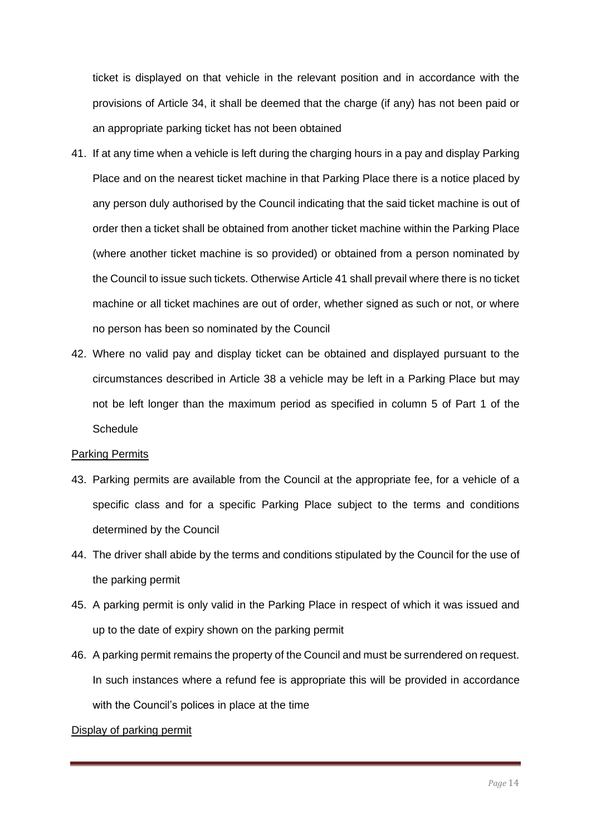ticket is displayed on that vehicle in the relevant position and in accordance with the provisions of Article 34, it shall be deemed that the charge (if any) has not been paid or an appropriate parking ticket has not been obtained

- 41. If at any time when a vehicle is left during the charging hours in a pay and display Parking Place and on the nearest ticket machine in that Parking Place there is a notice placed by any person duly authorised by the Council indicating that the said ticket machine is out of order then a ticket shall be obtained from another ticket machine within the Parking Place (where another ticket machine is so provided) or obtained from a person nominated by the Council to issue such tickets. Otherwise Article 41 shall prevail where there is no ticket machine or all ticket machines are out of order, whether signed as such or not, or where no person has been so nominated by the Council
- 42. Where no valid pay and display ticket can be obtained and displayed pursuant to the circumstances described in Article 38 a vehicle may be left in a Parking Place but may not be left longer than the maximum period as specified in column 5 of Part 1 of the **Schedule**

#### Parking Permits

- 43. Parking permits are available from the Council at the appropriate fee, for a vehicle of a specific class and for a specific Parking Place subject to the terms and conditions determined by the Council
- 44. The driver shall abide by the terms and conditions stipulated by the Council for the use of the parking permit
- 45. A parking permit is only valid in the Parking Place in respect of which it was issued and up to the date of expiry shown on the parking permit
- 46. A parking permit remains the property of the Council and must be surrendered on request. In such instances where a refund fee is appropriate this will be provided in accordance with the Council's polices in place at the time

#### Display of parking permit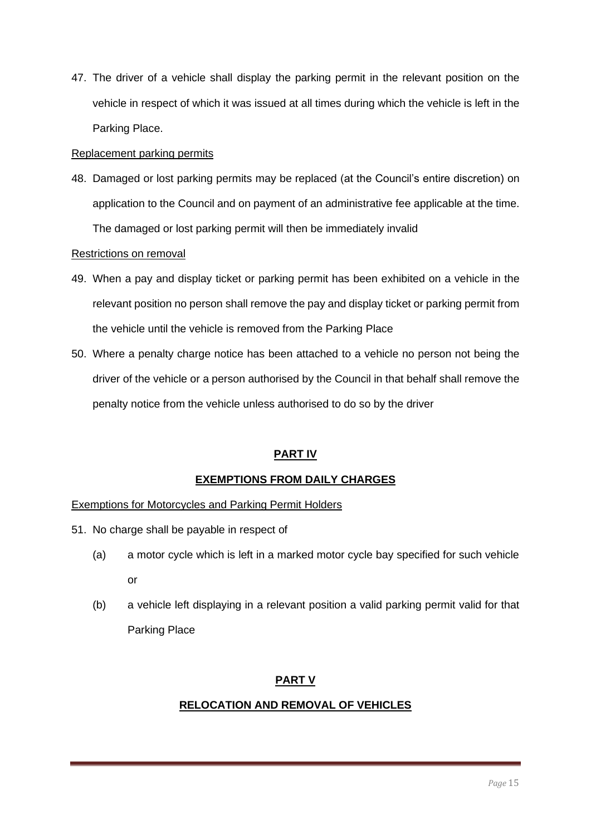47. The driver of a vehicle shall display the parking permit in the relevant position on the vehicle in respect of which it was issued at all times during which the vehicle is left in the Parking Place.

### Replacement parking permits

48. Damaged or lost parking permits may be replaced (at the Council's entire discretion) on application to the Council and on payment of an administrative fee applicable at the time. The damaged or lost parking permit will then be immediately invalid

### Restrictions on removal

- 49. When a pay and display ticket or parking permit has been exhibited on a vehicle in the relevant position no person shall remove the pay and display ticket or parking permit from the vehicle until the vehicle is removed from the Parking Place
- 50. Where a penalty charge notice has been attached to a vehicle no person not being the driver of the vehicle or a person authorised by the Council in that behalf shall remove the penalty notice from the vehicle unless authorised to do so by the driver

# **PART IV**

# **EXEMPTIONS FROM DAILY CHARGES**

### Exemptions for Motorcycles and Parking Permit Holders

- 51. No charge shall be payable in respect of
	- (a) a motor cycle which is left in a marked motor cycle bay specified for such vehicle or
	- (b) a vehicle left displaying in a relevant position a valid parking permit valid for that Parking Place

# **PART V**

# **RELOCATION AND REMOVAL OF VEHICLES**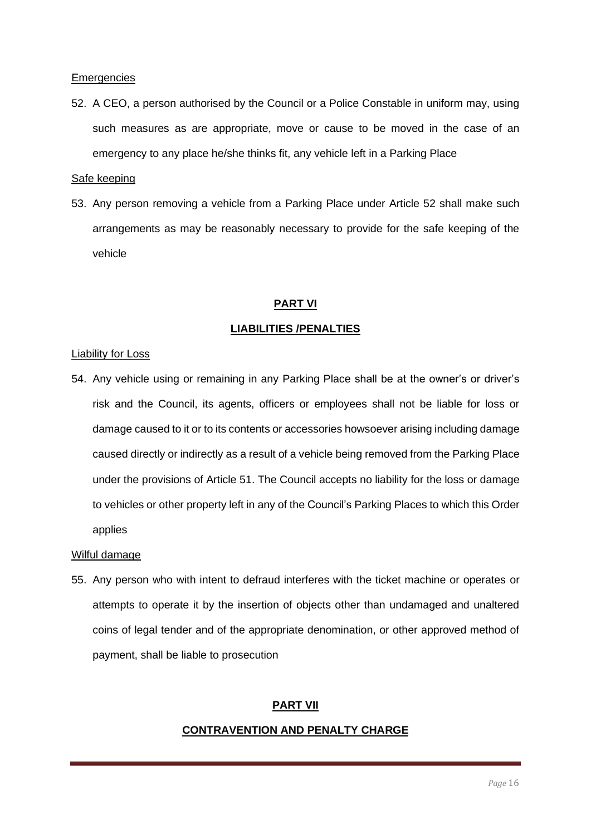#### **Emergencies**

52. A CEO, a person authorised by the Council or a Police Constable in uniform may, using such measures as are appropriate, move or cause to be moved in the case of an emergency to any place he/she thinks fit, any vehicle left in a Parking Place

#### Safe keeping

53. Any person removing a vehicle from a Parking Place under Article 52 shall make such arrangements as may be reasonably necessary to provide for the safe keeping of the vehicle

#### **PART VI**

#### **LIABILITIES /PENALTIES**

#### Liability for Loss

54. Any vehicle using or remaining in any Parking Place shall be at the owner's or driver's risk and the Council, its agents, officers or employees shall not be liable for loss or damage caused to it or to its contents or accessories howsoever arising including damage caused directly or indirectly as a result of a vehicle being removed from the Parking Place under the provisions of Article 51. The Council accepts no liability for the loss or damage to vehicles or other property left in any of the Council's Parking Places to which this Order applies

#### Wilful damage

55. Any person who with intent to defraud interferes with the ticket machine or operates or attempts to operate it by the insertion of objects other than undamaged and unaltered coins of legal tender and of the appropriate denomination, or other approved method of payment, shall be liable to prosecution

#### **PART VII**

#### **CONTRAVENTION AND PENALTY CHARGE**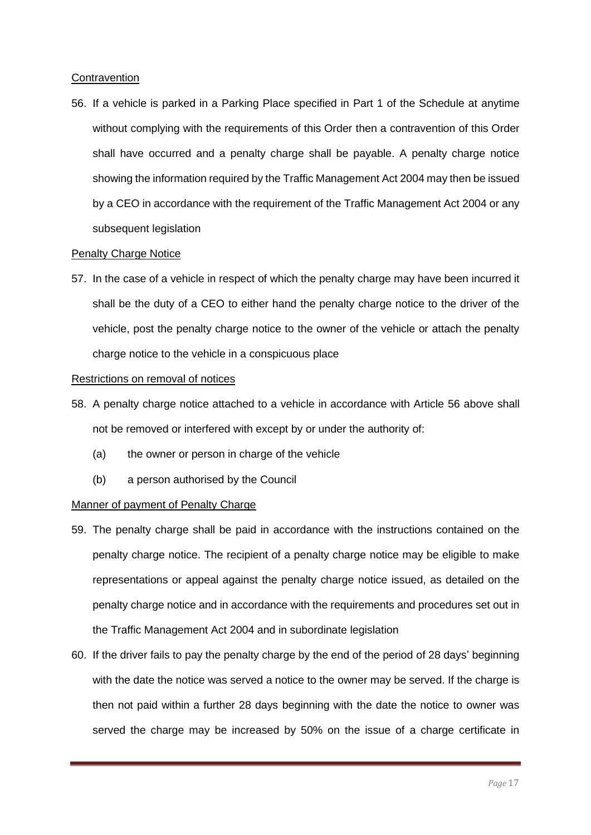### **Contravention**

56. If a vehicle is parked in a Parking Place specified in Part 1 of the Schedule at anytime without complying with the requirements of this Order then a contravention of this Order shall have occurred and a penalty charge shall be payable. A penalty charge notice showing the information required by the Traffic Management Act 2004 may then be issued by a CEO in accordance with the requirement of the Traffic Management Act 2004 or any subsequent legislation

### **Penalty Charge Notice**

57. In the case of a vehicle in respect of which the penalty charge may have been incurred it shall be the duty of a CEO to either hand the penalty charge notice to the driver of the vehicle, post the penalty charge notice to the owner of the vehicle or attach the penalty charge notice to the vehicle in a conspicuous place

### Restrictions on removal of notices

- 58. A penalty charge notice attached to a vehicle in accordance with Article 56 above shall not be removed or interfered with except by or under the authority of:
	- (a) the owner or person in charge of the vehicle
	- (b) a person authorised by the Council

### Manner of payment of Penalty Charge

- 59. The penalty charge shall be paid in accordance with the instructions contained on the penalty charge notice. The recipient of a penalty charge notice may be eligible to make representations or appeal against the penalty charge notice issued, as detailed on the penalty charge notice and in accordance with the requirements and procedures set out in the Traffic Management Act 2004 and in subordinate legislation
- 60. If the driver fails to pay the penalty charge by the end of the period of 28 days' beginning with the date the notice was served a notice to the owner may be served. If the charge is then not paid within a further 28 days beginning with the date the notice to owner was served the charge may be increased by 50% on the issue of a charge certificate in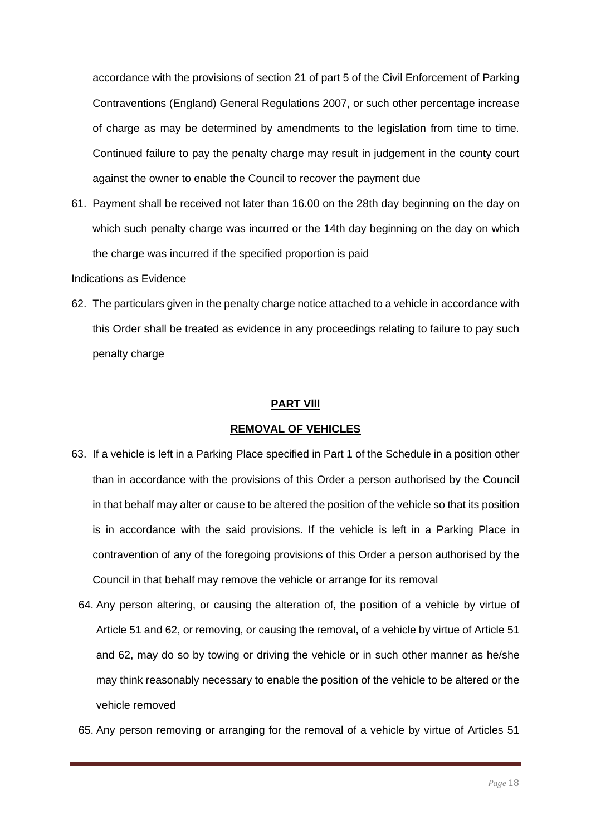accordance with the provisions of section 21 of part 5 of the Civil Enforcement of Parking Contraventions (England) General Regulations 2007, or such other percentage increase of charge as may be determined by amendments to the legislation from time to time. Continued failure to pay the penalty charge may result in judgement in the county court against the owner to enable the Council to recover the payment due

61. Payment shall be received not later than 16.00 on the 28th day beginning on the day on which such penalty charge was incurred or the 14th day beginning on the day on which the charge was incurred if the specified proportion is paid

#### Indications as Evidence

62. The particulars given in the penalty charge notice attached to a vehicle in accordance with this Order shall be treated as evidence in any proceedings relating to failure to pay such penalty charge

#### **PART Vlll**

#### **REMOVAL OF VEHICLES**

- 63. If a vehicle is left in a Parking Place specified in Part 1 of the Schedule in a position other than in accordance with the provisions of this Order a person authorised by the Council in that behalf may alter or cause to be altered the position of the vehicle so that its position is in accordance with the said provisions. If the vehicle is left in a Parking Place in contravention of any of the foregoing provisions of this Order a person authorised by the Council in that behalf may remove the vehicle or arrange for its removal
	- 64. Any person altering, or causing the alteration of, the position of a vehicle by virtue of Article 51 and 62, or removing, or causing the removal, of a vehicle by virtue of Article 51 and 62, may do so by towing or driving the vehicle or in such other manner as he/she may think reasonably necessary to enable the position of the vehicle to be altered or the vehicle removed
	- 65. Any person removing or arranging for the removal of a vehicle by virtue of Articles 51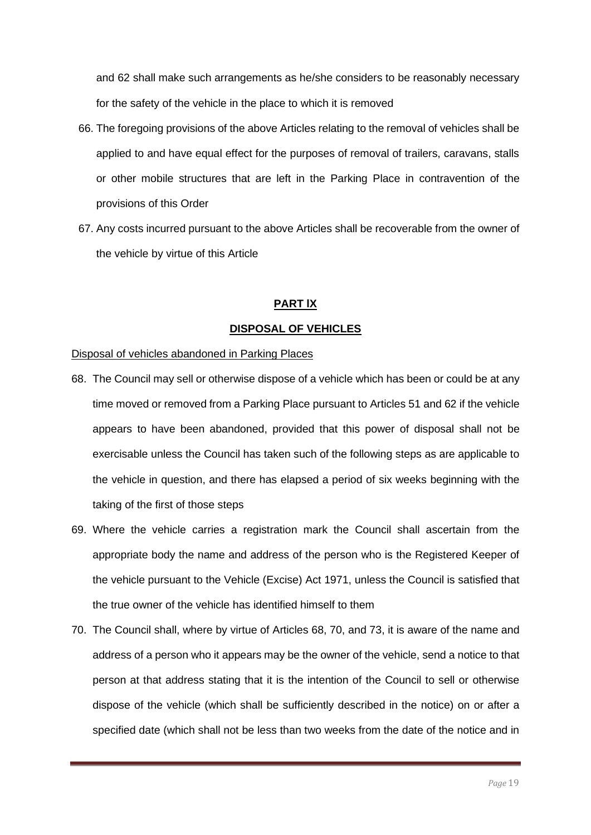and 62 shall make such arrangements as he/she considers to be reasonably necessary for the safety of the vehicle in the place to which it is removed

- 66. The foregoing provisions of the above Articles relating to the removal of vehicles shall be applied to and have equal effect for the purposes of removal of trailers, caravans, stalls or other mobile structures that are left in the Parking Place in contravention of the provisions of this Order
- 67. Any costs incurred pursuant to the above Articles shall be recoverable from the owner of the vehicle by virtue of this Article

### **PART lX**

### **DISPOSAL OF VEHICLES**

#### Disposal of vehicles abandoned in Parking Places

- 68. The Council may sell or otherwise dispose of a vehicle which has been or could be at any time moved or removed from a Parking Place pursuant to Articles 51 and 62 if the vehicle appears to have been abandoned, provided that this power of disposal shall not be exercisable unless the Council has taken such of the following steps as are applicable to the vehicle in question, and there has elapsed a period of six weeks beginning with the taking of the first of those steps
- 69. Where the vehicle carries a registration mark the Council shall ascertain from the appropriate body the name and address of the person who is the Registered Keeper of the vehicle pursuant to the Vehicle (Excise) Act 1971, unless the Council is satisfied that the true owner of the vehicle has identified himself to them
- 70. The Council shall, where by virtue of Articles 68, 70, and 73, it is aware of the name and address of a person who it appears may be the owner of the vehicle, send a notice to that person at that address stating that it is the intention of the Council to sell or otherwise dispose of the vehicle (which shall be sufficiently described in the notice) on or after a specified date (which shall not be less than two weeks from the date of the notice and in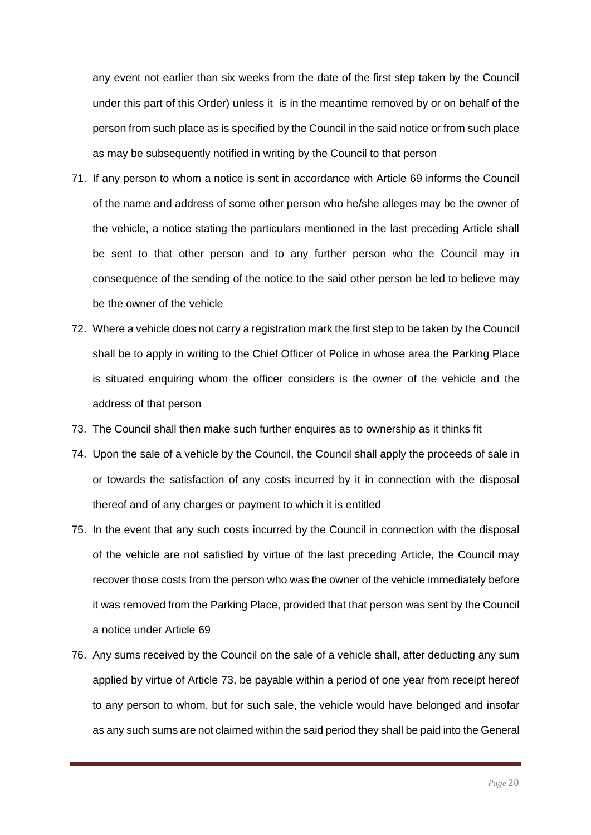any event not earlier than six weeks from the date of the first step taken by the Council under this part of this Order) unless it is in the meantime removed by or on behalf of the person from such place as is specified by the Council in the said notice or from such place as may be subsequently notified in writing by the Council to that person

- 71. If any person to whom a notice is sent in accordance with Article 69 informs the Council of the name and address of some other person who he/she alleges may be the owner of the vehicle, a notice stating the particulars mentioned in the last preceding Article shall be sent to that other person and to any further person who the Council may in consequence of the sending of the notice to the said other person be led to believe may be the owner of the vehicle
- 72. Where a vehicle does not carry a registration mark the first step to be taken by the Council shall be to apply in writing to the Chief Officer of Police in whose area the Parking Place is situated enquiring whom the officer considers is the owner of the vehicle and the address of that person
- 73. The Council shall then make such further enquires as to ownership as it thinks fit
- 74. Upon the sale of a vehicle by the Council, the Council shall apply the proceeds of sale in or towards the satisfaction of any costs incurred by it in connection with the disposal thereof and of any charges or payment to which it is entitled
- 75. In the event that any such costs incurred by the Council in connection with the disposal of the vehicle are not satisfied by virtue of the last preceding Article, the Council may recover those costs from the person who was the owner of the vehicle immediately before it was removed from the Parking Place, provided that that person was sent by the Council a notice under Article 69
- 76. Any sums received by the Council on the sale of a vehicle shall, after deducting any sum applied by virtue of Article 73, be payable within a period of one year from receipt hereof to any person to whom, but for such sale, the vehicle would have belonged and insofar as any such sums are not claimed within the said period they shall be paid into the General